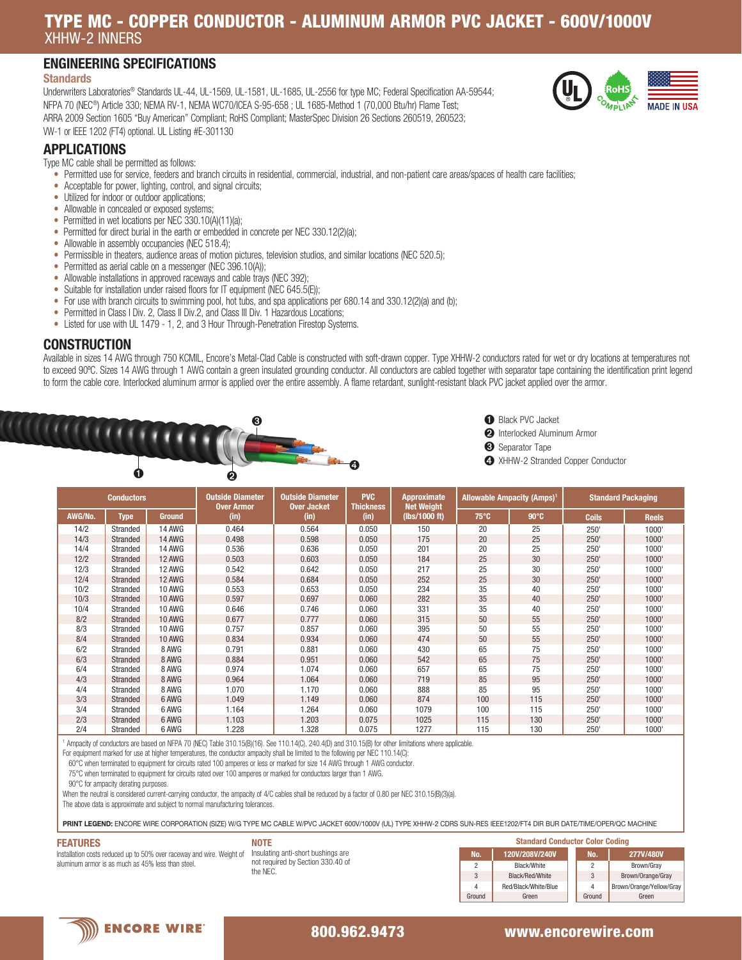## TYPE MC - COPPER CONDUCTOR - ALUMINUM ARMOR PVC JACKET - 600V/1000V XHHW-2 INNERS

## ENGINEERING SPECIFICATIONS

#### **Standards**

Underwriters Laboratories® Standards UL-44, UL-1569, UL-1581, UL-1685, UL-2556 for type MC; Federal Specification AA-59544; NFPA 70 (NEC®) Article 330; NEMA RV-1, NEMA WC70/ICEA S-95-658 ; UL 1685-Method 1 (70,000 Btu/hr) Flame Test; ARRA 2009 Section 1605 "Buy American" Compliant; RoHS Compliant; MasterSpec Division 26 Sections 260519, 260523; VW-1 or IEEE 1202 (FT4) optional. UL Listing #E-301130



## APPLICATIONS

Type MC cable shall be permitted as follows:

- Permitted use for service, feeders and branch circuits in residential, commercial, industrial, and non-patient care areas/spaces of health care facilities;
- Acceptable for power, lighting, control, and signal circuits;
- Utilized for indoor or outdoor applications;
- Allowable in concealed or exposed systems;
- Permitted in wet locations per NEC 330.10(A)(11)(a);
- Permitted for direct burial in the earth or embedded in concrete per NEC 330.12(2)(a);
- Allowable in assembly occupancies (NEC 518.4);
- Permissible in theaters, audience areas of motion pictures, television studios, and similar locations (NEC 520.5);
- Permitted as aerial cable on a messenger (NEC 396.10(A));
- Allowable installations in approved raceways and cable trays (NEC 392);
- Suitable for installation under raised floors for IT equipment (NEC 645.5(E));
- For use with branch circuits to swimming pool, hot tubs, and spa applications per 680.14 and 330.12(2)(a) and (b);
- Permitted in Class I Div. 2, Class II Div.2, and Class III Div. 1 Hazardous Locations;
- Listed for use with UL 1479 1, 2, and 3 Hour Through-Penetration Firestop Systems.

#### **CONSTRUCTION**

Available in sizes 14 AWG through 750 KCMIL, Encore's Metal-Clad Cable is constructed with soft-drawn copper. Type XHHW-2 conductors rated for wet or dry locations at temperatures not to exceed 90ºC. Sizes 14 AWG through 1 AWG contain a green insulated grounding conductor. All conductors are cabled together with separator tape containing the identification print legend to form the cable core. Interlocked aluminum armor is applied over the entire assembly. A flame retardant, sunlight-resistant black PVC jacket applied over the armor.





➋ Interlocked Aluminum Armor

- ➌ Separator Tape
- ➍ XHHW-2 Stranded Copper Conductor

| <b>Conductors</b> |             |               | <b>Outside Diameter</b><br><b>Over Armor</b> | <b>Outside Diameter</b><br><b>Over Jacket</b> | <b>PVC</b><br><b>Thickness</b> | Approximate<br><b>Net Weight</b> | <b>Allowable Ampacity (Amps)<sup>1</sup></b> |                | <b>Standard Packaging</b> |              |
|-------------------|-------------|---------------|----------------------------------------------|-----------------------------------------------|--------------------------------|----------------------------------|----------------------------------------------|----------------|---------------------------|--------------|
| AWG/No.           | <b>Type</b> | <b>Ground</b> | (in)                                         | (in)                                          | (in)                           | (lbs/1000 ft)                    | $75^{\circ}$ C                               | $90^{\circ}$ C | <b>Coils</b>              | <b>Reels</b> |
| 14/2              | Stranded    | <b>14 AWG</b> | 0.464                                        | 0.564                                         | 0.050                          | 150                              | 20                                           | 25             | 250'                      | 1000'        |
| 14/3              | Stranded    | <b>14 AWG</b> | 0.498                                        | 0.598                                         | 0.050                          | 175                              | 20                                           | 25             | 250'                      | 1000'        |
| 14/4              | Stranded    | <b>14 AWG</b> | 0.536                                        | 0.636                                         | 0.050                          | 201                              | 20                                           | 25             | 250'                      | 1000'        |
| 12/2              | Stranded    | <b>12 AWG</b> | 0.503                                        | 0.603                                         | 0.050                          | 184                              | 25                                           | 30             | 250'                      | 1000'        |
| 12/3              | Stranded    | 12 AWG        | 0.542                                        | 0.642                                         | 0.050                          | 217                              | 25                                           | 30             | 250'                      | 1000'        |
| 12/4              | Stranded    | <b>12 AWG</b> | 0.584                                        | 0.684                                         | 0.050                          | 252                              | 25                                           | 30             | 250'                      | 1000'        |
| 10/2              | Stranded    | 10 AWG        | 0.553                                        | 0.653                                         | 0.050                          | 234                              | 35                                           | 40             | 250'                      | 1000'        |
| 10/3              | Stranded    | <b>10 AWG</b> | 0.597                                        | 0.697                                         | 0.060                          | 282                              | 35                                           | 40             | 250'                      | 1000'        |
| 10/4              | Stranded    | 10 AWG        | 0.646                                        | 0.746                                         | 0.060                          | 331                              | 35                                           | 40             | 250'                      | 1000'        |
| 8/2               | Stranded    | <b>10 AWG</b> | 0.677                                        | 0.777                                         | 0.060                          | 315                              | 50                                           | 55             | 250'                      | 1000'        |
| 8/3               | Stranded    | 10 AWG        | 0.757                                        | 0.857                                         | 0.060                          | 395                              | 50                                           | 55             | 250'                      | 1000'        |
| 8/4               | Stranded    | <b>10 AWG</b> | 0.834                                        | 0.934                                         | 0.060                          | 474                              | 50                                           | 55             | 250'                      | 1000'        |
| 6/2               | Stranded    | 8 AWG         | 0.791                                        | 0.881                                         | 0.060                          | 430                              | 65                                           | 75             | 250'                      | 1000'        |
| 6/3               | Stranded    | 8 AWG         | 0.884                                        | 0.951                                         | 0.060                          | 542                              | 65                                           | 75             | 250'                      | 1000'        |
| 6/4               | Stranded    | 8 AWG         | 0.974                                        | 1.074                                         | 0.060                          | 657                              | 65                                           | 75             | 250'                      | 1000'        |
| 4/3               | Stranded    | 8 AWG         | 0.964                                        | 1.064                                         | 0.060                          | 719                              | 85                                           | 95             | 250'                      | 1000'        |
| 4/4               | Stranded    | 8 AWG         | 1.070                                        | 1.170                                         | 0.060                          | 888                              | 85                                           | 95             | 250'                      | 1000'        |
| 3/3               | Stranded    | 6 AWG         | 1.049                                        | 1.149                                         | 0.060                          | 874                              | 100                                          | 115            | 250'                      | 1000'        |
| 3/4               | Stranded    | 6 AWG         | 1.164                                        | 1.264                                         | 0.060                          | 1079                             | 100                                          | 115            | 250'                      | 1000'        |
| 2/3               | Stranded    | 6 AWG         | 1.103                                        | 1.203                                         | 0.075                          | 1025                             | 115                                          | 130            | 250'                      | 1000'        |
| 2/4               | Stranded    | 6 AWG         | 1.228                                        | 1.328                                         | 0.075                          | 1277                             | 115                                          | 130            | 250                       | 1000'        |

1 Ampacity of conductors are based on NFPA 70 (NEC) Table 310.15(B)(16). See 110.14(C), 240.4(D) and 310.15(B) for other limitations where applicable.

For equipment marked for use at higher temperatures, the conductor ampacity shall be limited to the following per NEC 110.14(C):

60°C when terminated to equipment for circuits rated 100 amperes or less or marked for size 14 AWG through 1 AWG conductor.

75°C when terminated to equipment for circuits rated over 100 amperes or marked for conductors larger than 1 AWG.

90°C for ampacity derating purposes.

When the neutral is considered current-carrying conductor, the ampacity of 4/C cables shall be reduced by a factor of 0.80 per NEC 310.15(B)(3)(a).

The above data is approximate and subject to normal manufacturing tolerances.

PRINT LEGEND: ENCORE WIRE CORPORATION (SIZE) W/G TYPE MC CABLE W/PVC JACKET 600V/1000V (UL) TYPE XHHW-2 CDRS SUN-RES IEEE1202/FT4 DIR BUR DATE/TIME/OPER/QC MACHINE

#### FEATURES

Installation costs reduced up to 50% over raceway and wire. Weight of aluminum armor is as much as 45% less than steel.

| <b>NOTE</b>                        |
|------------------------------------|
| Insulating anti-short bushings are |
| not required by Section 330.40 of  |
| the NFC                            |

| <b>Standard Conductor Color Coding</b> |                      |  |                |                          |  |  |  |  |
|----------------------------------------|----------------------|--|----------------|--------------------------|--|--|--|--|
| No.                                    | 120V/208V/240V       |  | No.            | 277V/480V                |  |  |  |  |
| 2                                      | Black/White          |  | $\overline{2}$ | Brown/Gray               |  |  |  |  |
| 3                                      | Black/Red/White      |  | 3              | Brown/Orange/Gray        |  |  |  |  |
| 4                                      | Red/Black/White/Blue |  | 4              | Brown/Orange/Yellow/Gray |  |  |  |  |
| Ground                                 | Green                |  | Ground         | Green                    |  |  |  |  |



#### 800.962.9473 www.encorewire.com